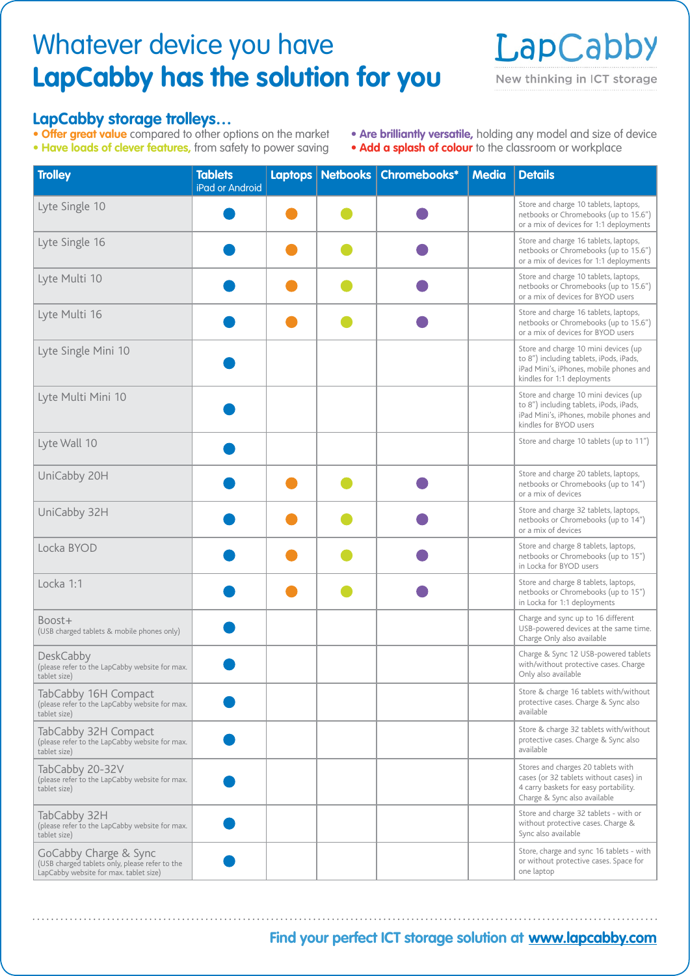## Whatever device you have **LapCabby has the solution for you**



## **LapCabby storage trolleys…**

- **Offer great value** compared to other options on the market
- **Have loads of clever features,** from safety to power saving
- **Are brilliantly versatile,** holding any model and size of device
- **Add a splash of colour** to the classroom or workplace

| <b>Trolley</b>                                                                                                    | <b>Tablets</b><br>iPad or Android | Laptops Netbooks | Chromebooks* | <b>Media</b> | <b>Details</b>                                                                                                                                            |
|-------------------------------------------------------------------------------------------------------------------|-----------------------------------|------------------|--------------|--------------|-----------------------------------------------------------------------------------------------------------------------------------------------------------|
| Lyte Single 10                                                                                                    |                                   |                  |              |              | Store and charge 10 tablets, laptops,<br>netbooks or Chromebooks (up to 15.6")<br>or a mix of devices for 1:1 deployments                                 |
| Lyte Single 16                                                                                                    |                                   |                  |              |              | Store and charge 16 tablets, laptops,<br>netbooks or Chromebooks (up to 15.6")<br>or a mix of devices for 1:1 deployments                                 |
| Lyte Multi 10                                                                                                     |                                   |                  |              |              | Store and charge 10 tablets, laptops,<br>netbooks or Chromebooks (up to 15.6")<br>or a mix of devices for BYOD users                                      |
| Lyte Multi 16                                                                                                     |                                   |                  |              |              | Store and charge 16 tablets, laptops,<br>netbooks or Chromebooks (up to 15.6")<br>or a mix of devices for BYOD users                                      |
| Lyte Single Mini 10                                                                                               |                                   |                  |              |              | Store and charge 10 mini devices (up<br>to 8") including tablets, iPods, iPads,<br>iPad Mini's, iPhones, mobile phones and<br>kindles for 1:1 deployments |
| Lyte Multi Mini 10                                                                                                |                                   |                  |              |              | Store and charge 10 mini devices (up<br>to 8") including tablets, iPods, iPads,<br>iPad Mini's, iPhones, mobile phones and<br>kindles for BYOD users      |
| Lyte Wall 10                                                                                                      |                                   |                  |              |              | Store and charge 10 tablets (up to 11")                                                                                                                   |
| UniCabby 20H                                                                                                      |                                   |                  |              |              | Store and charge 20 tablets, laptops,<br>netbooks or Chromebooks (up to 14")<br>or a mix of devices                                                       |
| UniCabby 32H                                                                                                      |                                   |                  |              |              | Store and charge 32 tablets, laptops,<br>netbooks or Chromebooks (up to 14")<br>or a mix of devices                                                       |
| Locka BYOD                                                                                                        |                                   |                  |              |              | Store and charge 8 tablets, laptops,<br>netbooks or Chromebooks (up to 15")<br>in Locka for BYOD users                                                    |
| Locka 1:1                                                                                                         |                                   |                  |              |              | Store and charge 8 tablets, laptops,<br>netbooks or Chromebooks (up to 15")<br>in Locka for 1:1 deployments                                               |
| Boost+<br>(USB charged tablets & mobile phones only)                                                              |                                   |                  |              |              | Charge and sync up to 16 different<br>USB-powered devices at the same time.<br>Charge Only also available                                                 |
| <b>DeskCabby</b><br>(please refer to the LapCabby website for max.<br>tablet size)                                |                                   |                  |              |              | Charge & Sync 12 USB-powered tablets<br>with/without protective cases. Charge<br>Only also available                                                      |
| TabCabby 16H Compact<br>(please refer to the LapCabby website for max.<br>tablet size)                            |                                   |                  |              |              | Store & charge 16 tablets with/without<br>protective cases. Charge & Sync also<br>available                                                               |
| TabCabby 32H Compact<br>(please refer to the LapCabby website for max.<br>tablet size)                            |                                   |                  |              |              | Store & charge 32 tablets with/without<br>protective cases. Charge & Sync also<br>available                                                               |
| TabCabby 20-32V<br>(please refer to the LapCabby website for max.<br>tablet size)                                 |                                   |                  |              |              | Stores and charges 20 tablets with<br>cases (or 32 tablets without cases) in<br>4 carry baskets for easy portability.<br>Charge & Sync also available     |
| TabCabby 32H<br>(please refer to the LapCabby website for max.<br>tablet size)                                    |                                   |                  |              |              | Store and charge 32 tablets - with or<br>without protective cases. Charge &<br>Sync also available                                                        |
| GoCabby Charge & Sync<br>(USB charged tablets only, please refer to the<br>LapCabby website for max. tablet size) |                                   |                  |              |              | Store, charge and sync 16 tablets - with<br>or without protective cases. Space for<br>one laptop                                                          |